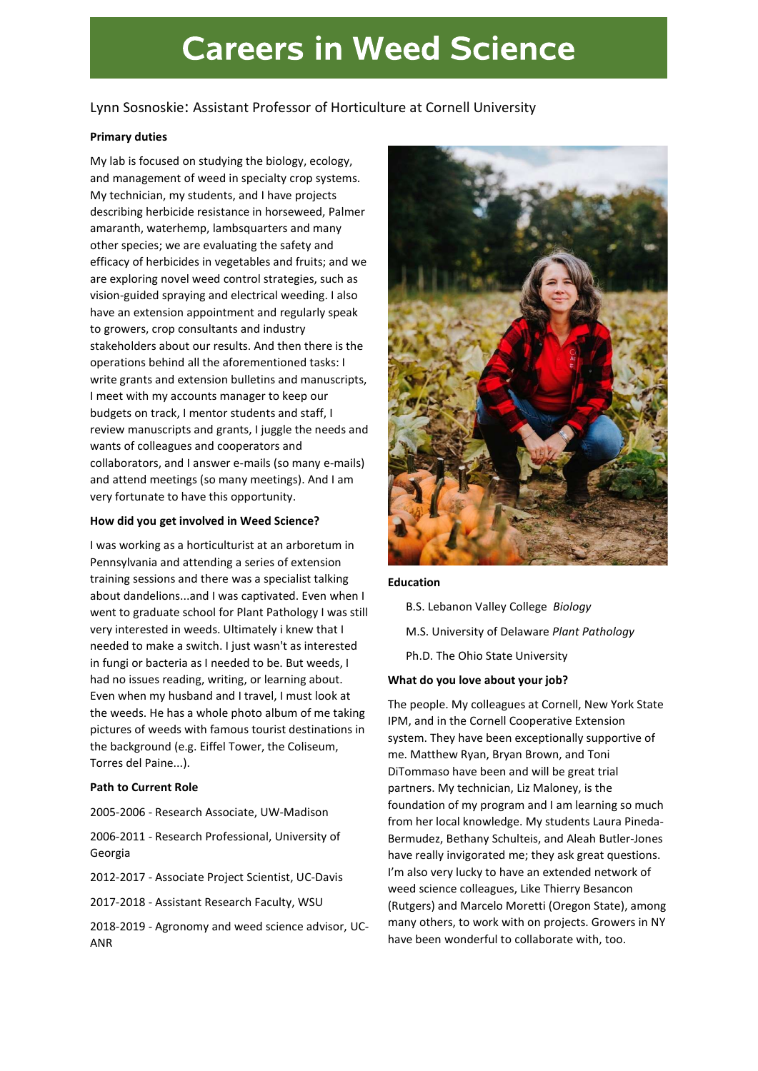# **Careers in Weed Science**

# Lynn Sosnoskie: Assistant Professor of Horticulture at Cornell University

# Primary duties

My lab is focused on studying the biology, ecology, and management of weed in specialty crop systems. My technician, my students, and I have projects describing herbicide resistance in horseweed, Palmer amaranth, waterhemp, lambsquarters and many other species; we are evaluating the safety and efficacy of herbicides in vegetables and fruits; and we are exploring novel weed control strategies, such as vision-guided spraying and electrical weeding. I also have an extension appointment and regularly speak to growers, crop consultants and industry stakeholders about our results. And then there is the operations behind all the aforementioned tasks: I write grants and extension bulletins and manuscripts, I meet with my accounts manager to keep our budgets on track, I mentor students and staff, I review manuscripts and grants, I juggle the needs and wants of colleagues and cooperators and collaborators, and I answer e-mails (so many e-mails) and attend meetings (so many meetings). And I am very fortunate to have this opportunity.

# How did you get involved in Weed Science?

I was working as a horticulturist at an arboretum in Pennsylvania and attending a series of extension training sessions and there was a specialist talking about dandelions...and I was captivated. Even when I went to graduate school for Plant Pathology I was still very interested in weeds. Ultimately i knew that I needed to make a switch. I just wasn't as interested in fungi or bacteria as I needed to be. But weeds, I had no issues reading, writing, or learning about. Even when my husband and I travel, I must look at the weeds. He has a whole photo album of me taking pictures of weeds with famous tourist destinations in the background (e.g. Eiffel Tower, the Coliseum, Torres del Paine...).

# Path to Current Role

2005-2006 - Research Associate, UW-Madison

2006-2011 - Research Professional, University of Georgia

2012-2017 - Associate Project Scientist, UC-Davis

2017-2018 - Assistant Research Faculty, WSU

2018-2019 - Agronomy and weed science advisor, UC-ANR



#### Education

- B.S. Lebanon Valley College Biology
- M.S. University of Delaware Plant Pathology
- Ph.D. The Ohio State University

# What do you love about your job?

The people. My colleagues at Cornell, New York State IPM, and in the Cornell Cooperative Extension system. They have been exceptionally supportive of me. Matthew Ryan, Bryan Brown, and Toni DiTommaso have been and will be great trial partners. My technician, Liz Maloney, is the foundation of my program and I am learning so much from her local knowledge. My students Laura Pineda-Bermudez, Bethany Schulteis, and Aleah Butler-Jones have really invigorated me; they ask great questions. I'm also very lucky to have an extended network of weed science colleagues, Like Thierry Besancon (Rutgers) and Marcelo Moretti (Oregon State), among many others, to work with on projects. Growers in NY have been wonderful to collaborate with, too.